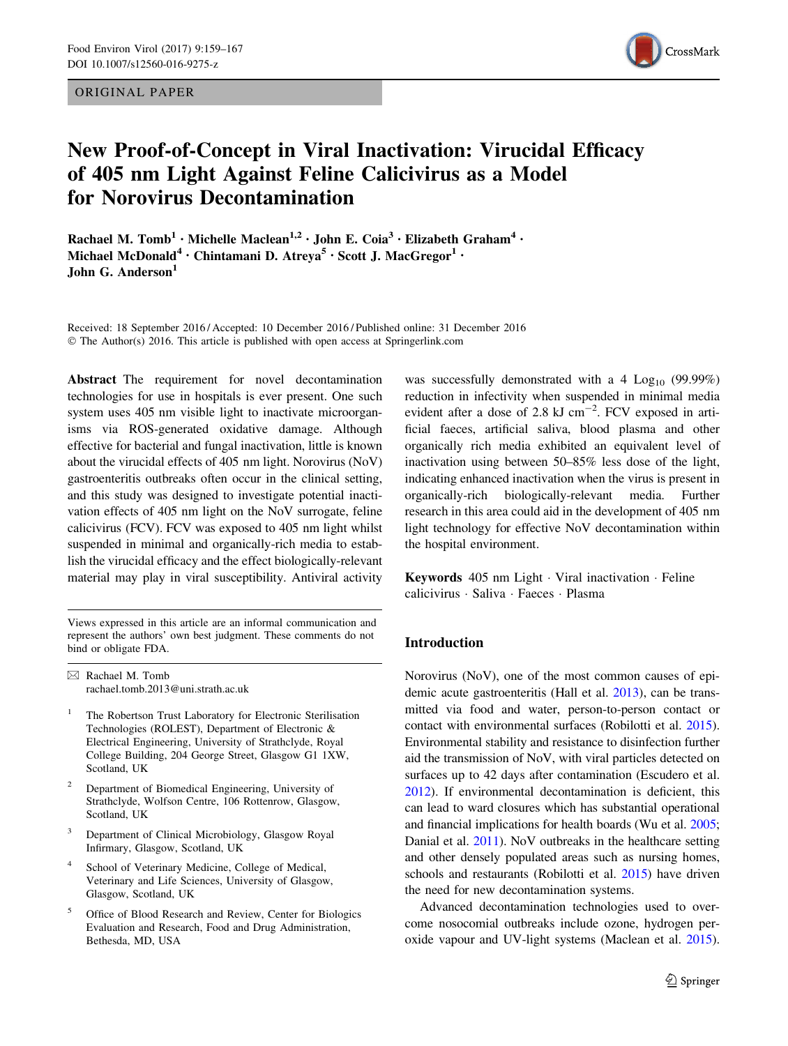ORIGINAL PAPER



# New Proof-of-Concept in Viral Inactivation: Virucidal Efficacy of 405 nm Light Against Feline Calicivirus as a Model for Norovirus Decontamination

Rachael M. Tomb<sup>1</sup> • Michelle Maclean<sup>1,2</sup> • John E. Coia<sup>3</sup> • Elizabeth Graham<sup>4</sup> • Michael McDonald<sup>4</sup> · Chintamani D. Atreva<sup>5</sup> · Scott J. MacGregor<sup>1</sup> · John G. Anderson $<sup>1</sup>$ </sup>

Received: 18 September 2016 / Accepted: 10 December 2016 / Published online: 31 December 2016 © The Author(s) 2016. This article is published with open access at Springerlink.com

Abstract The requirement for novel decontamination technologies for use in hospitals is ever present. One such system uses 405 nm visible light to inactivate microorganisms via ROS-generated oxidative damage. Although effective for bacterial and fungal inactivation, little is known about the virucidal effects of 405 nm light. Norovirus (NoV) gastroenteritis outbreaks often occur in the clinical setting, and this study was designed to investigate potential inactivation effects of 405 nm light on the NoV surrogate, feline calicivirus (FCV). FCV was exposed to 405 nm light whilst suspended in minimal and organically-rich media to establish the virucidal efficacy and the effect biologically-relevant material may play in viral susceptibility. Antiviral activity

Views expressed in this article are an informal communication and represent the authors' own best judgment. These comments do not bind or obligate FDA.

& Rachael M. Tomb rachael.tomb.2013@uni.strath.ac.uk

- <sup>1</sup> The Robertson Trust Laboratory for Electronic Sterilisation Technologies (ROLEST), Department of Electronic & Electrical Engineering, University of Strathclyde, Royal College Building, 204 George Street, Glasgow G1 1XW, Scotland, UK
- <sup>2</sup> Department of Biomedical Engineering, University of Strathclyde, Wolfson Centre, 106 Rottenrow, Glasgow, Scotland, UK
- Department of Clinical Microbiology, Glasgow Royal Infirmary, Glasgow, Scotland, UK
- School of Veterinary Medicine, College of Medical, Veterinary and Life Sciences, University of Glasgow, Glasgow, Scotland, UK
- <sup>5</sup> Office of Blood Research and Review, Center for Biologics Evaluation and Research, Food and Drug Administration, Bethesda, MD, USA

was successfully demonstrated with a 4  $Log<sub>10</sub>$  (99.99%) reduction in infectivity when suspended in minimal media evident after a dose of 2.8  $kJ$  cm<sup>-2</sup>. FCV exposed in artificial faeces, artificial saliva, blood plasma and other organically rich media exhibited an equivalent level of inactivation using between 50–85% less dose of the light, indicating enhanced inactivation when the virus is present in organically-rich biologically-relevant media. Further research in this area could aid in the development of 405 nm light technology for effective NoV decontamination within the hospital environment.

Keywords 405 nm Light - Viral inactivation - Feline calicivirus - Saliva - Faeces - Plasma

# Introduction

Norovirus (NoV), one of the most common causes of epidemic acute gastroenteritis (Hall et al. [2013](#page-8-0)), can be transmitted via food and water, person-to-person contact or contact with environmental surfaces (Robilotti et al. [2015\)](#page-8-0). Environmental stability and resistance to disinfection further aid the transmission of NoV, with viral particles detected on surfaces up to 42 days after contamination (Escudero et al. [2012\)](#page-8-0). If environmental decontamination is deficient, this can lead to ward closures which has substantial operational and financial implications for health boards (Wu et al. [2005](#page-8-0); Danial et al. [2011](#page-7-0)). NoV outbreaks in the healthcare setting and other densely populated areas such as nursing homes, schools and restaurants (Robilotti et al. [2015\)](#page-8-0) have driven the need for new decontamination systems.

Advanced decontamination technologies used to overcome nosocomial outbreaks include ozone, hydrogen peroxide vapour and UV-light systems (Maclean et al. [2015\)](#page-8-0).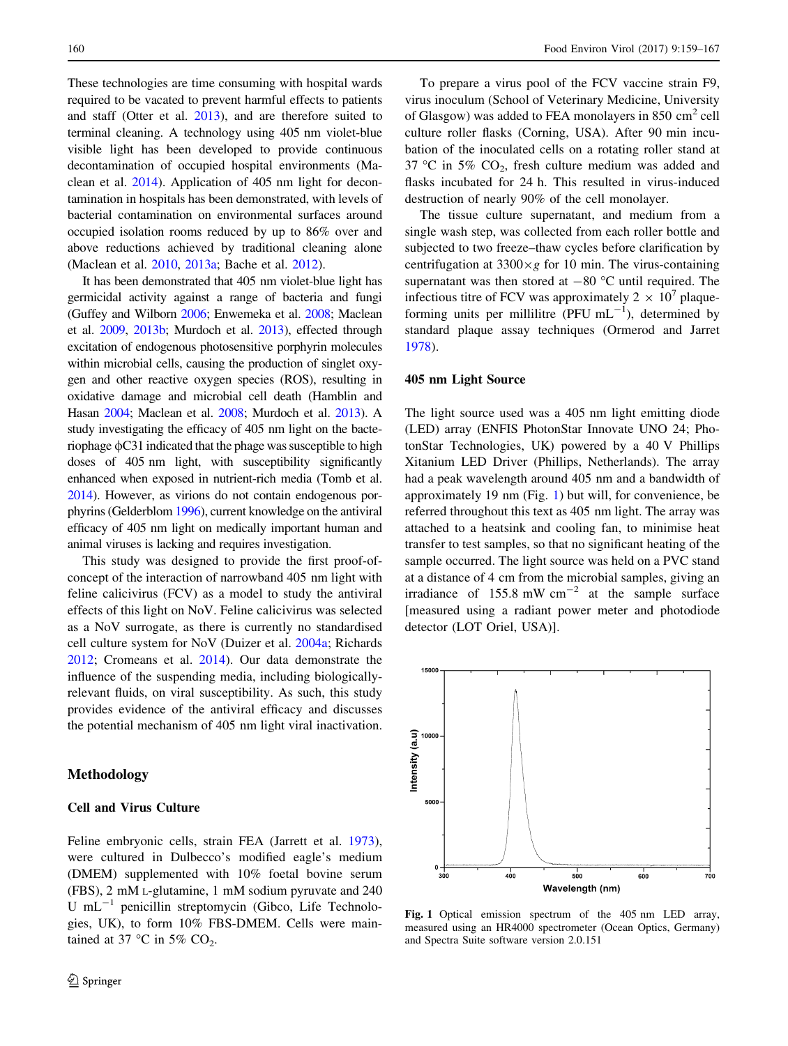<span id="page-1-0"></span>These technologies are time consuming with hospital wards required to be vacated to prevent harmful effects to patients and staff (Otter et al. [2013\)](#page-8-0), and are therefore suited to terminal cleaning. A technology using 405 nm violet-blue visible light has been developed to provide continuous decontamination of occupied hospital environments (Maclean et al. [2014](#page-8-0)). Application of 405 nm light for decontamination in hospitals has been demonstrated, with levels of bacterial contamination on environmental surfaces around occupied isolation rooms reduced by up to 86% over and above reductions achieved by traditional cleaning alone (Maclean et al. [2010](#page-8-0), [2013a;](#page-8-0) Bache et al. [2012](#page-7-0)).

It has been demonstrated that 405 nm violet-blue light has germicidal activity against a range of bacteria and fungi (Guffey and Wilborn [2006](#page-8-0); Enwemeka et al. [2008;](#page-8-0) Maclean et al. [2009,](#page-8-0) [2013b](#page-8-0); Murdoch et al. [2013\)](#page-8-0), effected through excitation of endogenous photosensitive porphyrin molecules within microbial cells, causing the production of singlet oxygen and other reactive oxygen species (ROS), resulting in oxidative damage and microbial cell death (Hamblin and Hasan [2004;](#page-8-0) Maclean et al. [2008](#page-8-0); Murdoch et al. [2013\)](#page-8-0). A study investigating the efficacy of 405 nm light on the bacteriophage  $\phi$ C31 indicated that the phage was susceptible to high doses of 405 nm light, with susceptibility significantly enhanced when exposed in nutrient-rich media (Tomb et al. [2014](#page-8-0)). However, as virions do not contain endogenous porphyrins (Gelderblom [1996\)](#page-8-0), current knowledge on the antiviral efficacy of 405 nm light on medically important human and animal viruses is lacking and requires investigation.

This study was designed to provide the first proof-ofconcept of the interaction of narrowband 405 nm light with feline calicivirus (FCV) as a model to study the antiviral effects of this light on NoV. Feline calicivirus was selected as a NoV surrogate, as there is currently no standardised cell culture system for NoV (Duizer et al. [2004a;](#page-8-0) Richards [2012;](#page-8-0) Cromeans et al. [2014\)](#page-7-0). Our data demonstrate the influence of the suspending media, including biologicallyrelevant fluids, on viral susceptibility. As such, this study provides evidence of the antiviral efficacy and discusses the potential mechanism of 405 nm light viral inactivation.

## Methodology

#### Cell and Virus Culture

Feline embryonic cells, strain FEA (Jarrett et al. [1973](#page-8-0)), were cultured in Dulbecco's modified eagle's medium (DMEM) supplemented with 10% foetal bovine serum (FBS), 2 mM L-glutamine, 1 mM sodium pyruvate and 240 U  $mL^{-1}$  penicillin streptomycin (Gibco, Life Technologies, UK), to form 10% FBS-DMEM. Cells were maintained at 37 °C in 5%  $CO<sub>2</sub>$ .

To prepare a virus pool of the FCV vaccine strain F9, virus inoculum (School of Veterinary Medicine, University of Glasgow) was added to FEA monolayers in 850  $\text{cm}^2$  cell culture roller flasks (Corning, USA). After 90 min incubation of the inoculated cells on a rotating roller stand at 37 °C in 5%  $CO<sub>2</sub>$ , fresh culture medium was added and flasks incubated for 24 h. This resulted in virus-induced destruction of nearly 90% of the cell monolayer.

The tissue culture supernatant, and medium from a single wash step, was collected from each roller bottle and subjected to two freeze–thaw cycles before clarification by centrifugation at  $3300 \times g$  for 10 min. The virus-containing supernatant was then stored at  $-80$  °C until required. The infectious titre of FCV was approximately  $2 \times 10^7$  plaqueforming units per millilitre (PFU  $mL^{-1}$ ), determined by standard plaque assay techniques (Ormerod and Jarret [1978](#page-8-0)).

### 405 nm Light Source

The light source used was a 405 nm light emitting diode (LED) array (ENFIS PhotonStar Innovate UNO 24; PhotonStar Technologies, UK) powered by a 40 V Phillips Xitanium LED Driver (Phillips, Netherlands). The array had a peak wavelength around 405 nm and a bandwidth of approximately 19 nm (Fig. 1) but will, for convenience, be referred throughout this text as 405 nm light. The array was attached to a heatsink and cooling fan, to minimise heat transfer to test samples, so that no significant heating of the sample occurred. The light source was held on a PVC stand at a distance of 4 cm from the microbial samples, giving an irradiance of  $155.8$  mW cm<sup>-2</sup> at the sample surface [measured using a radiant power meter and photodiode detector (LOT Oriel, USA)].



Fig. 1 Optical emission spectrum of the 405 nm LED array, measured using an HR4000 spectrometer (Ocean Optics, Germany) and Spectra Suite software version 2.0.151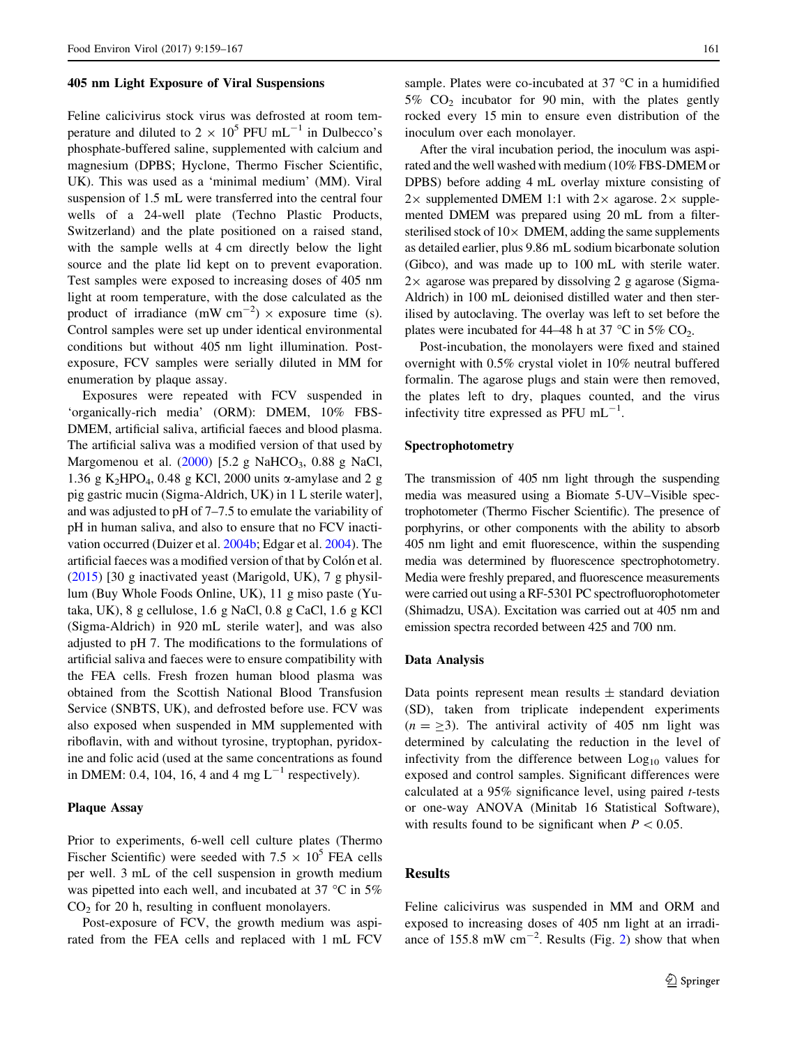#### 405 nm Light Exposure of Viral Suspensions

Feline calicivirus stock virus was defrosted at room temperature and diluted to  $2 \times 10^5$  PFU mL<sup>-1</sup> in Dulbecco's phosphate-buffered saline, supplemented with calcium and magnesium (DPBS; Hyclone, Thermo Fischer Scientific, UK). This was used as a 'minimal medium' (MM). Viral suspension of 1.5 mL were transferred into the central four wells of a 24-well plate (Techno Plastic Products, Switzerland) and the plate positioned on a raised stand, with the sample wells at 4 cm directly below the light source and the plate lid kept on to prevent evaporation. Test samples were exposed to increasing doses of 405 nm light at room temperature, with the dose calculated as the product of irradiance (mW cm<sup>-2</sup>)  $\times$  exposure time (s). Control samples were set up under identical environmental conditions but without 405 nm light illumination. Postexposure, FCV samples were serially diluted in MM for enumeration by plaque assay.

Exposures were repeated with FCV suspended in 'organically-rich media' (ORM): DMEM, 10% FBS-DMEM, artificial saliva, artificial faeces and blood plasma. The artificial saliva was a modified version of that used by Margomenou et al.  $(2000)$  $(2000)$  [5.2 g NaHCO<sub>3</sub>, 0.88 g NaCl, 1.36 g K<sub>2</sub>HPO<sub>4</sub>, 0.48 g KCl, 2000 units  $\alpha$ -amylase and 2 g pig gastric mucin (Sigma-Aldrich, UK) in 1 L sterile water], and was adjusted to pH of 7–7.5 to emulate the variability of pH in human saliva, and also to ensure that no FCV inactivation occurred (Duizer et al. [2004b;](#page-8-0) Edgar et al. [2004\)](#page-8-0). The artificial faeces was a modified version of that by Colón et al. [\(2015](#page-7-0)) [30 g inactivated yeast (Marigold, UK), 7 g physillum (Buy Whole Foods Online, UK), 11 g miso paste (Yutaka, UK), 8 g cellulose, 1.6 g NaCl, 0.8 g CaCl, 1.6 g KCl (Sigma-Aldrich) in 920 mL sterile water], and was also adjusted to pH 7. The modifications to the formulations of artificial saliva and faeces were to ensure compatibility with the FEA cells. Fresh frozen human blood plasma was obtained from the Scottish National Blood Transfusion Service (SNBTS, UK), and defrosted before use. FCV was also exposed when suspended in MM supplemented with riboflavin, with and without tyrosine, tryptophan, pyridoxine and folic acid (used at the same concentrations as found in DMEM: 0.4, 104, 16, 4 and 4 mg  $L^{-1}$  respectively).

# Plaque Assay

Prior to experiments, 6-well cell culture plates (Thermo Fischer Scientific) were seeded with  $7.5 \times 10^5$  FEA cells per well. 3 mL of the cell suspension in growth medium was pipetted into each well, and incubated at 37  $\degree$ C in 5%  $CO<sub>2</sub>$  for 20 h, resulting in confluent monolayers.

Post-exposure of FCV, the growth medium was aspirated from the FEA cells and replaced with 1 mL FCV sample. Plates were co-incubated at  $37^{\circ}$ C in a humidified  $5\%$  CO<sub>2</sub> incubator for 90 min, with the plates gently rocked every 15 min to ensure even distribution of the inoculum over each monolayer.

After the viral incubation period, the inoculum was aspirated and the well washed with medium (10% FBS-DMEM or DPBS) before adding 4 mL overlay mixture consisting of  $2\times$  supplemented DMEM 1:1 with  $2\times$  agarose.  $2\times$  supplemented DMEM was prepared using 20 mL from a filtersterilised stock of  $10\times$  DMEM, adding the same supplements as detailed earlier, plus 9.86 mL sodium bicarbonate solution (Gibco), and was made up to 100 mL with sterile water.  $2 \times$  agarose was prepared by dissolving 2 g agarose (Sigma-Aldrich) in 100 mL deionised distilled water and then sterilised by autoclaving. The overlay was left to set before the plates were incubated for 44–48 h at 37  $\degree$ C in 5% CO<sub>2</sub>.

Post-incubation, the monolayers were fixed and stained overnight with 0.5% crystal violet in 10% neutral buffered formalin. The agarose plugs and stain were then removed, the plates left to dry, plaques counted, and the virus infectivity titre expressed as PFU  $mL^{-1}$ .

## Spectrophotometry

The transmission of 405 nm light through the suspending media was measured using a Biomate 5-UV–Visible spectrophotometer (Thermo Fischer Scientific). The presence of porphyrins, or other components with the ability to absorb 405 nm light and emit fluorescence, within the suspending media was determined by fluorescence spectrophotometry. Media were freshly prepared, and fluorescence measurements were carried out using a RF-5301 PC spectrofluorophotometer (Shimadzu, USA). Excitation was carried out at 405 nm and emission spectra recorded between 425 and 700 nm.

#### Data Analysis

Data points represent mean results  $\pm$  standard deviation (SD), taken from triplicate independent experiments  $(n = \ge 3)$ . The antiviral activity of 405 nm light was determined by calculating the reduction in the level of infectivity from the difference between  $Log<sub>10</sub>$  values for exposed and control samples. Significant differences were calculated at a 95% significance level, using paired t-tests or one-way ANOVA (Minitab 16 Statistical Software), with results found to be significant when  $P < 0.05$ .

## Results

Feline calicivirus was suspended in MM and ORM and exposed to increasing doses of 405 nm light at an irradiance of 155.8 mW  $\text{cm}^{-2}$  $\text{cm}^{-2}$  $\text{cm}^{-2}$ . Results (Fig. 2) show that when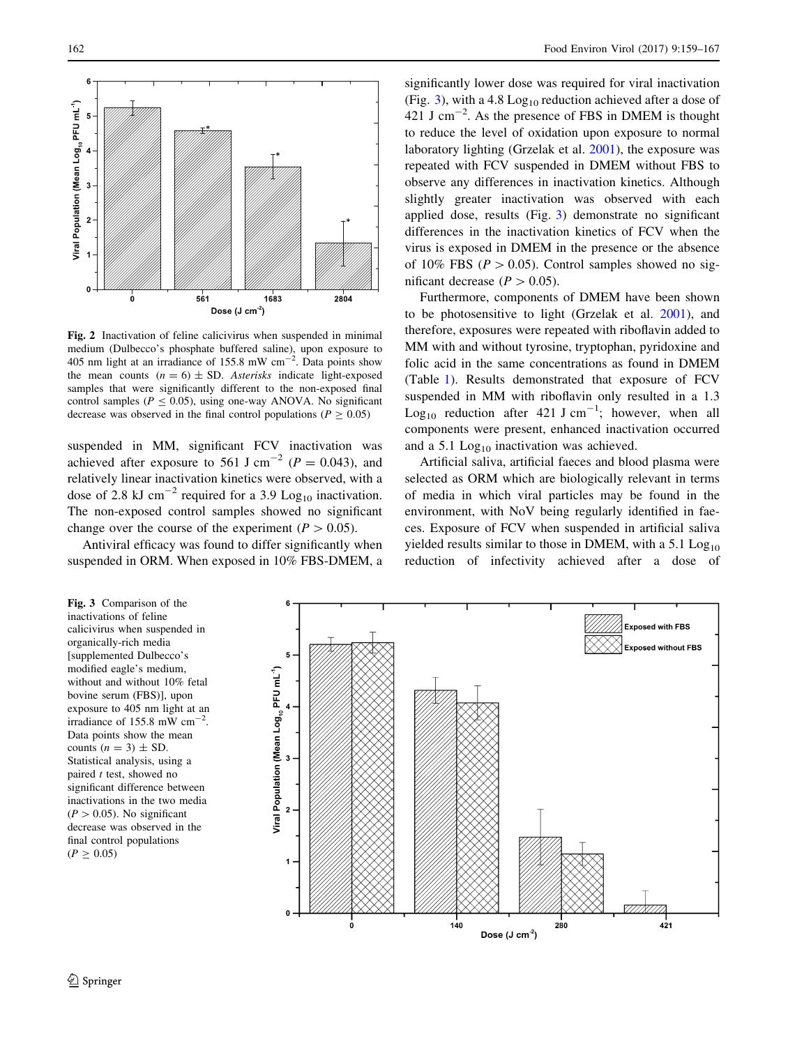

Fig. 2 Inactivation of feline calicivirus when suspended in minimal medium (Dulbecco's phosphate buffered saline), upon exposure to 405 nm light at an irradiance of 155.8 mW  $cm^{-2}$ . Data points show the mean counts  $(n = 6) \pm SD$ . Asterisks indicate light-exposed samples that were significantly different to the non-exposed final control samples ( $P \le 0.05$ ), using one-way ANOVA. No significant decrease was observed in the final control populations ( $P \ge 0.05$ )

suspended in MM, significant FCV inactivation was achieved after exposure to 561 J cm<sup>-2</sup> ( $P = 0.043$ ), and relatively linear inactivation kinetics were observed, with a dose of 2.8 kJ cm<sup>-2</sup> required for a 3.9 Log<sub>10</sub> inactivation. The non-exposed control samples showed no significant change over the course of the experiment ( $P > 0.05$ ).

Antiviral efficacy was found to differ significantly when suspended in ORM. When exposed in 10% FBS-DMEM, a

<span id="page-3-0"></span>162 Food Environ Virol (2017) 9:159–167

significantly lower dose was required for viral inactivation (Fig. 3), with a 4.8  $Log<sub>10</sub>$  reduction achieved after a dose of 421 J cm<sup> $-2$ </sup>. As the presence of FBS in DMEM is thought to reduce the level of oxidation upon exposure to normal laboratory lighting (Grzelak et al. [2001\)](#page-8-0), the exposure was repeated with FCV suspended in DMEM without FBS to observe any differences in inactivation kinetics. Although slightly greater inactivation was observed with each applied dose, results (Fig. 3) demonstrate no significant differences in the inactivation kinetics of FCV when the virus is exposed in DMEM in the presence or the absence of 10% FBS ( $P > 0.05$ ). Control samples showed no significant decrease ( $P > 0.05$ ).

Furthermore, components of DMEM have been shown to be photosensitive to light (Grzelak et al. [2001](#page-8-0)), and therefore, exposures were repeated with riboflavin added to MM with and without tyrosine, tryptophan, pyridoxine and folic acid in the same concentrations as found in DMEM (Table [1\)](#page-4-0). Results demonstrated that exposure of FCV suspended in MM with riboflavin only resulted in a 1.3 Log<sub>10</sub> reduction after 421 J cm<sup>-1</sup>; however, when all components were present, enhanced inactivation occurred and a 5.1  $Log<sub>10</sub>$  inactivation was achieved.

Artificial saliva, artificial faeces and blood plasma were selected as ORM which are biologically relevant in terms of media in which viral particles may be found in the environment, with NoV being regularly identified in faeces. Exposure of FCV when suspended in artificial saliva yielded results similar to those in DMEM, with a  $5.1 \text{ Log}_{10}$ reduction of infectivity achieved after a dose of

Fig. 3 Comparison of the inactivations of feline calicivirus when suspended in organically-rich media [supplemented Dulbecco's modified eagle's medium, without and without 10% fetal bovine serum (FBS)], upon exposure to 405 nm light at an irradiance of 155.8 mW  $\text{cm}^{-2}$ . Data points show the mean counts  $(n = 3) \pm SD$ . Statistical analysis, using a paired  $t$  test, showed no significant difference between inactivations in the two media  $(P > 0.05)$ . No significant decrease was observed in the final control populations  $(P \ge 0.05)$ 

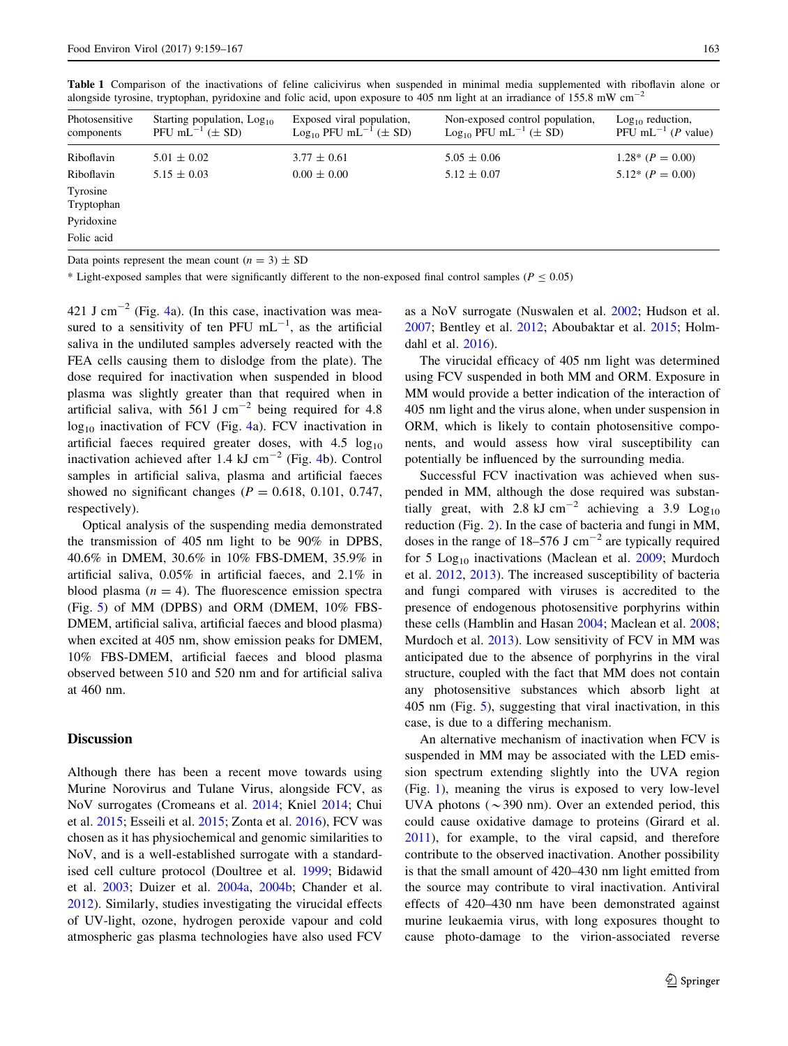| Photosensitive<br>components | Starting population, $Log_{10}$<br>PFU mL <sup><math>-1</math></sup> ( $\pm$ SD) | Exposed viral population,<br>$Log_{10}$ PFU mL <sup>-1</sup> ( $\pm$ SD) | Non-exposed control population,<br>$Log_{10}$ PFU mL <sup>-1</sup> ( $\pm$ SD) | $Log10$ reduction,<br>PFU mL <sup><math>-1</math></sup> ( <i>P</i> value) |
|------------------------------|----------------------------------------------------------------------------------|--------------------------------------------------------------------------|--------------------------------------------------------------------------------|---------------------------------------------------------------------------|
| Riboflavin                   | $5.01 \pm 0.02$                                                                  | $3.77 \pm 0.61$                                                          | $5.05 \pm 0.06$                                                                | $1.28^*$ ( $P = 0.00$ )                                                   |
| Riboflavin                   | $5.15 \pm 0.03$                                                                  | $0.00 \pm 0.00$                                                          | $5.12 \pm 0.07$                                                                | $5.12^* (P = 0.00)$                                                       |
| Tyrosine<br>Tryptophan       |                                                                                  |                                                                          |                                                                                |                                                                           |
| Pyridoxine                   |                                                                                  |                                                                          |                                                                                |                                                                           |
| Folic acid                   |                                                                                  |                                                                          |                                                                                |                                                                           |

<span id="page-4-0"></span>Table 1 Comparison of the inactivations of feline calicivirus when suspended in minimal media supplemented with riboflavin alone or alongside tyrosine, tryptophan, pyridoxine and folic acid, upon exposure to 405 nm light at an irradiance of 155.8 mW cm<sup>-</sup>

Data points represent the mean count  $(n = 3) \pm SD$ 

\* Light-exposed samples that were significantly different to the non-exposed final control samples ( $P \le 0.05$ )

[4](#page-5-0)21 J cm<sup> $-2$ </sup> (Fig. 4a). (In this case, inactivation was measured to a sensitivity of ten PFU  $mL^{-1}$ , as the artificial saliva in the undiluted samples adversely reacted with the FEA cells causing them to dislodge from the plate). The dose required for inactivation when suspended in blood plasma was slightly greater than that required when in artificial saliva, with 561 J cm<sup>-2</sup> being required for 4.8  $log_{10}$  inactivation of FCV (Fig. [4](#page-5-0)a). FCV inactivation in artificial faeces required greater doses, with  $4.5 \log_{10}$ inactivation achieved after 1.[4](#page-5-0) kJ cm<sup> $-2$ </sup> (Fig. 4b). Control samples in artificial saliva, plasma and artificial faeces showed no significant changes ( $P = 0.618$ , 0.101, 0.747, respectively).

Optical analysis of the suspending media demonstrated the transmission of 405 nm light to be 90% in DPBS, 40.6% in DMEM, 30.6% in 10% FBS-DMEM, 35.9% in artificial saliva, 0.05% in artificial faeces, and 2.1% in blood plasma  $(n = 4)$ . The fluorescence emission spectra (Fig. [5](#page-6-0)) of MM (DPBS) and ORM (DMEM, 10% FBS-DMEM, artificial saliva, artificial faeces and blood plasma) when excited at 405 nm, show emission peaks for DMEM, 10% FBS-DMEM, artificial faeces and blood plasma observed between 510 and 520 nm and for artificial saliva at 460 nm.

## **Discussion**

Although there has been a recent move towards using Murine Norovirus and Tulane Virus, alongside FCV, as NoV surrogates (Cromeans et al. [2014;](#page-7-0) Kniel [2014](#page-8-0); Chui et al. [2015](#page-7-0); Esseili et al. [2015;](#page-8-0) Zonta et al. [2016](#page-8-0)), FCV was chosen as it has physiochemical and genomic similarities to NoV, and is a well-established surrogate with a standardised cell culture protocol (Doultree et al. [1999](#page-7-0); Bidawid et al. [2003;](#page-7-0) Duizer et al. [2004a,](#page-8-0) [2004b;](#page-8-0) Chander et al. [2012\)](#page-7-0). Similarly, studies investigating the virucidal effects of UV-light, ozone, hydrogen peroxide vapour and cold atmospheric gas plasma technologies have also used FCV

as a NoV surrogate (Nuswalen et al. [2002](#page-8-0); Hudson et al. [2007](#page-8-0); Bentley et al. [2012;](#page-7-0) Aboubaktar et al. [2015;](#page-7-0) Holmdahl et al. [2016](#page-8-0)).

The virucidal efficacy of 405 nm light was determined using FCV suspended in both MM and ORM. Exposure in MM would provide a better indication of the interaction of 405 nm light and the virus alone, when under suspension in ORM, which is likely to contain photosensitive components, and would assess how viral susceptibility can potentially be influenced by the surrounding media.

Successful FCV inactivation was achieved when suspended in MM, although the dose required was substantially great, with 2.8 kJ cm<sup>-2</sup> achieving a 3.9 Log<sub>10</sub> reduction (Fig. [2\)](#page-3-0). In the case of bacteria and fungi in MM, doses in the range of  $18-576$  J cm<sup>-2</sup> are typically required for 5 Log<sub>10</sub> inactivations (Maclean et al. [2009;](#page-8-0) Murdoch et al. [2012,](#page-8-0) [2013](#page-8-0)). The increased susceptibility of bacteria and fungi compared with viruses is accredited to the presence of endogenous photosensitive porphyrins within these cells (Hamblin and Hasan [2004](#page-8-0); Maclean et al. [2008](#page-8-0); Murdoch et al. [2013\)](#page-8-0). Low sensitivity of FCV in MM was anticipated due to the absence of porphyrins in the viral structure, coupled with the fact that MM does not contain any photosensitive substances which absorb light at 405 nm (Fig. [5](#page-6-0)), suggesting that viral inactivation, in this case, is due to a differing mechanism.

An alternative mechanism of inactivation when FCV is suspended in MM may be associated with the LED emission spectrum extending slightly into the UVA region (Fig. [1\)](#page-1-0), meaning the virus is exposed to very low-level UVA photons ( $\sim$ 390 nm). Over an extended period, this could cause oxidative damage to proteins (Girard et al. [2011](#page-8-0)), for example, to the viral capsid, and therefore contribute to the observed inactivation. Another possibility is that the small amount of 420–430 nm light emitted from the source may contribute to viral inactivation. Antiviral effects of 420–430 nm have been demonstrated against murine leukaemia virus, with long exposures thought to cause photo-damage to the virion-associated reverse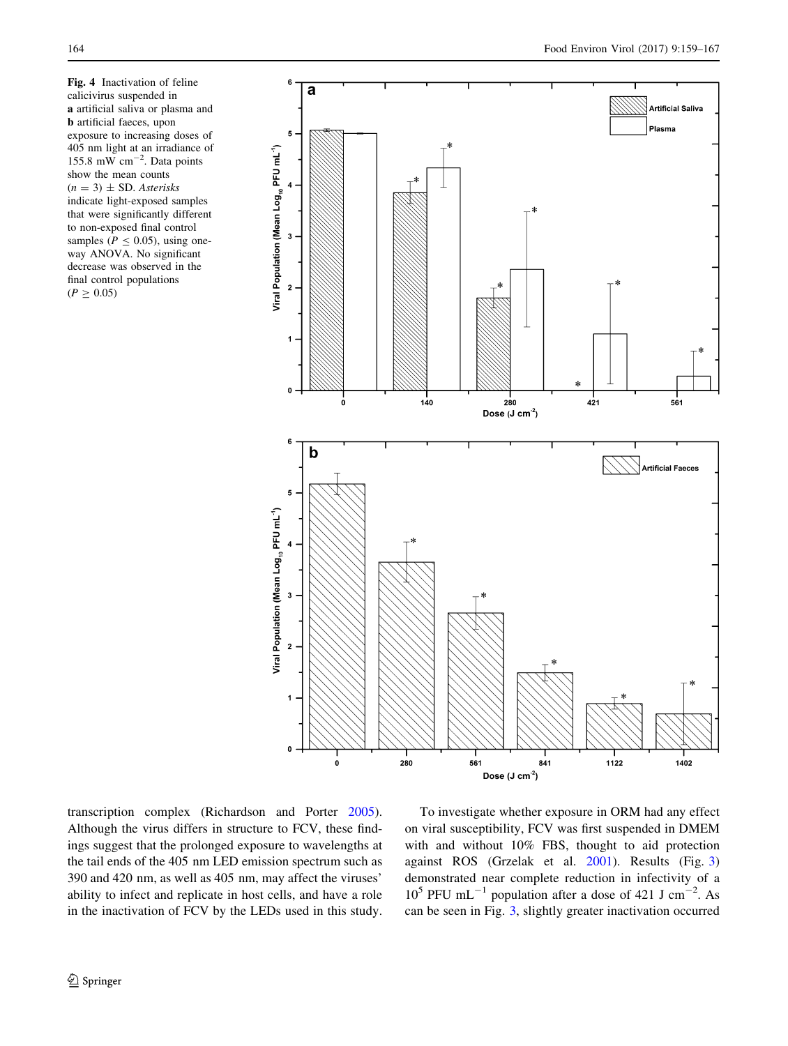<span id="page-5-0"></span>Fig. 4 Inactivation of feline calicivirus suspended in a artificial saliva or plasma and b artificial faeces, upon exposure to increasing doses of 405 nm light at an irradiance of 155.8 mW  $cm^{-2}$ . Data points show the mean counts  $(n = 3) \pm SD$ . Asterisks indicate light-exposed samples that were significantly different to non-exposed final control samples ( $P < 0.05$ ), using oneway ANOVA. No significant decrease was observed in the final control populations  $(P \ge 0.05)$ 



transcription complex (Richardson and Porter [2005](#page-8-0)). Although the virus differs in structure to FCV, these findings suggest that the prolonged exposure to wavelengths at the tail ends of the 405 nm LED emission spectrum such as 390 and 420 nm, as well as 405 nm, may affect the viruses' ability to infect and replicate in host cells, and have a role in the inactivation of FCV by the LEDs used in this study.

To investigate whether exposure in ORM had any effect on viral susceptibility, FCV was first suspended in DMEM with and without 10% FBS, thought to aid protection against ROS (Grzelak et al. [2001](#page-8-0)). Results (Fig. [3\)](#page-3-0) demonstrated near complete reduction in infectivity of a  $10^5$  PFU mL<sup>-1</sup> population after a dose of 421 J cm<sup>-2</sup>. As can be seen in Fig. [3](#page-3-0), slightly greater inactivation occurred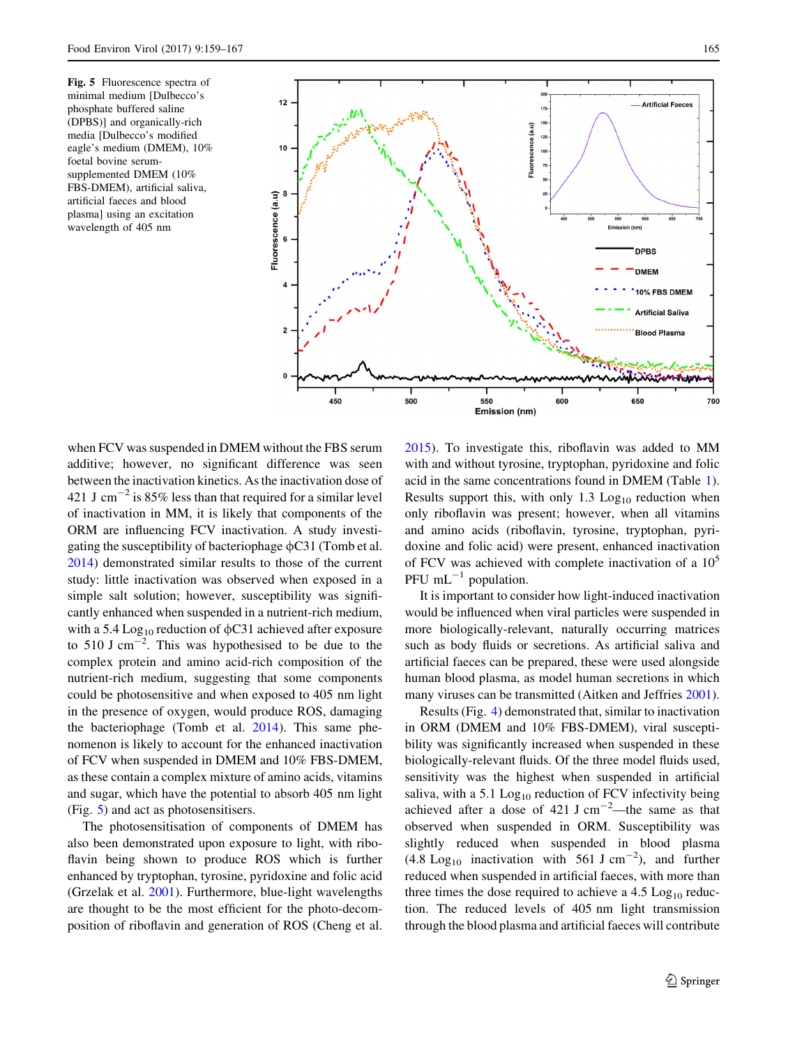<span id="page-6-0"></span>Fig. 5 Fluorescence spectra of minimal medium [Dulbecco's phosphate buffered saline (DPBS)] and organically-rich media [Dulbecco's modified eagle's medium (DMEM), 10% foetal bovine serumsupplemented DMEM (10% FBS-DMEM), artificial saliva, artificial faeces and blood plasma] using an excitation wavelength of 405 nm



when FCV was suspended in DMEM without the FBS serum additive; however, no significant difference was seen between the inactivation kinetics. As the inactivation dose of 421 J cm<sup> $-2$ </sup> is 85% less than that required for a similar level of inactivation in MM, it is likely that components of the ORM are influencing FCV inactivation. A study investigating the susceptibility of bacteriophage  $\phi$ C31 (Tomb et al. [2014\)](#page-8-0) demonstrated similar results to those of the current study: little inactivation was observed when exposed in a simple salt solution; however, susceptibility was significantly enhanced when suspended in a nutrient-rich medium, with a 5.4 Log<sub>10</sub> reduction of  $\phi$ C31 achieved after exposure to 510 J cm<sup> $-2$ </sup>. This was hypothesised to be due to the complex protein and amino acid-rich composition of the nutrient-rich medium, suggesting that some components could be photosensitive and when exposed to 405 nm light in the presence of oxygen, would produce ROS, damaging the bacteriophage (Tomb et al. [2014\)](#page-8-0). This same phenomenon is likely to account for the enhanced inactivation of FCV when suspended in DMEM and 10% FBS-DMEM, as these contain a complex mixture of amino acids, vitamins and sugar, which have the potential to absorb 405 nm light (Fig. 5) and act as photosensitisers.

The photosensitisation of components of DMEM has also been demonstrated upon exposure to light, with riboflavin being shown to produce ROS which is further enhanced by tryptophan, tyrosine, pyridoxine and folic acid (Grzelak et al. [2001](#page-8-0)). Furthermore, blue-light wavelengths are thought to be the most efficient for the photo-decomposition of riboflavin and generation of ROS (Cheng et al.

[2015](#page-7-0)). To investigate this, riboflavin was added to MM with and without tyrosine, tryptophan, pyridoxine and folic acid in the same concentrations found in DMEM (Table [1](#page-4-0)). Results support this, with only  $1.3$  Log<sub>10</sub> reduction when only riboflavin was present; however, when all vitamins and amino acids (riboflavin, tyrosine, tryptophan, pyridoxine and folic acid) were present, enhanced inactivation of FCV was achieved with complete inactivation of a  $10^5$ PFU  $mL^{-1}$  population.

It is important to consider how light-induced inactivation would be influenced when viral particles were suspended in more biologically-relevant, naturally occurring matrices such as body fluids or secretions. As artificial saliva and artificial faeces can be prepared, these were used alongside human blood plasma, as model human secretions in which many viruses can be transmitted (Aitken and Jeffries [2001](#page-7-0)).

Results (Fig. [4](#page-5-0)) demonstrated that, similar to inactivation in ORM (DMEM and 10% FBS-DMEM), viral susceptibility was significantly increased when suspended in these biologically-relevant fluids. Of the three model fluids used, sensitivity was the highest when suspended in artificial saliva, with a  $5.1$  Log<sub>10</sub> reduction of FCV infectivity being achieved after a dose of  $421 \text{ J cm}^{-2}$ —the same as that observed when suspended in ORM. Susceptibility was slightly reduced when suspended in blood plasma  $(4.8 \text{ Log}_{10}$  inactivation with 561 J cm<sup>-2</sup>), and further reduced when suspended in artificial faeces, with more than three times the dose required to achieve a  $4.5 \text{ Log}_{10}$  reduction. The reduced levels of 405 nm light transmission through the blood plasma and artificial faeces will contribute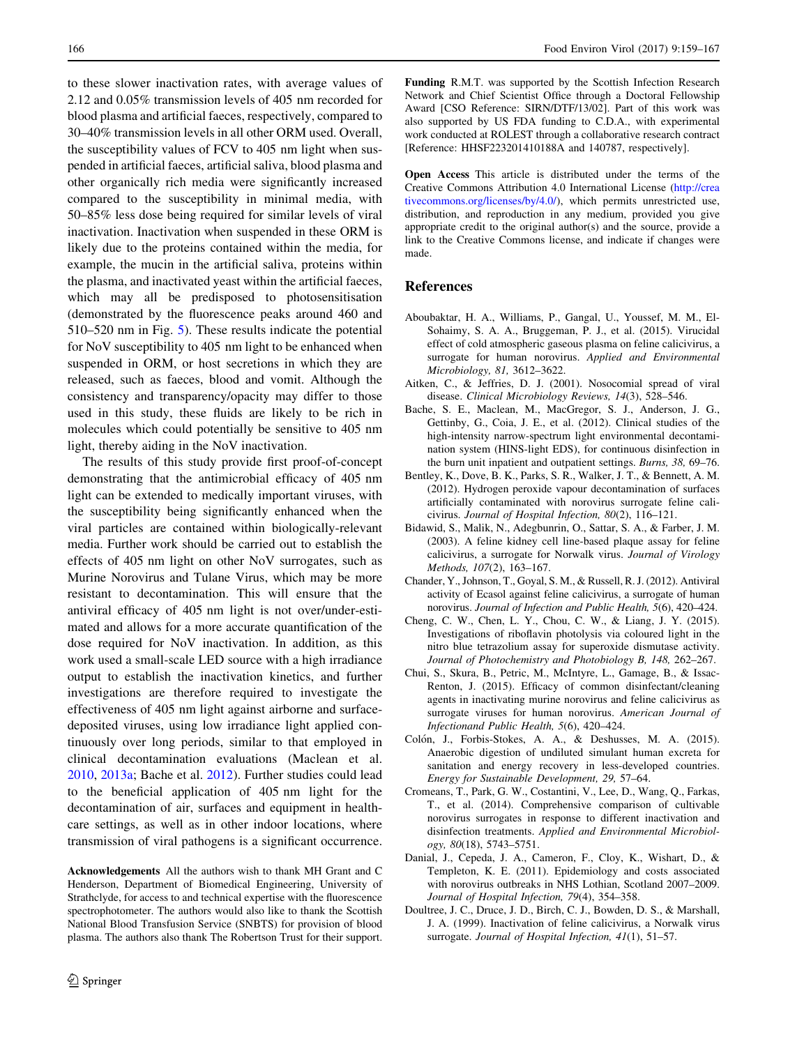<span id="page-7-0"></span>to these slower inactivation rates, with average values of 2.12 and 0.05% transmission levels of 405 nm recorded for blood plasma and artificial faeces, respectively, compared to 30–40% transmission levels in all other ORM used. Overall, the susceptibility values of FCV to 405 nm light when suspended in artificial faeces, artificial saliva, blood plasma and other organically rich media were significantly increased compared to the susceptibility in minimal media, with 50–85% less dose being required for similar levels of viral inactivation. Inactivation when suspended in these ORM is likely due to the proteins contained within the media, for example, the mucin in the artificial saliva, proteins within the plasma, and inactivated yeast within the artificial faeces, which may all be predisposed to photosensitisation (demonstrated by the fluorescence peaks around 460 and 510–520 nm in Fig. [5](#page-6-0)). These results indicate the potential for NoV susceptibility to 405 nm light to be enhanced when suspended in ORM, or host secretions in which they are released, such as faeces, blood and vomit. Although the consistency and transparency/opacity may differ to those used in this study, these fluids are likely to be rich in molecules which could potentially be sensitive to 405 nm light, thereby aiding in the NoV inactivation.

The results of this study provide first proof-of-concept demonstrating that the antimicrobial efficacy of 405 nm light can be extended to medically important viruses, with the susceptibility being significantly enhanced when the viral particles are contained within biologically-relevant media. Further work should be carried out to establish the effects of 405 nm light on other NoV surrogates, such as Murine Norovirus and Tulane Virus, which may be more resistant to decontamination. This will ensure that the antiviral efficacy of 405 nm light is not over/under-estimated and allows for a more accurate quantification of the dose required for NoV inactivation. In addition, as this work used a small-scale LED source with a high irradiance output to establish the inactivation kinetics, and further investigations are therefore required to investigate the effectiveness of 405 nm light against airborne and surfacedeposited viruses, using low irradiance light applied continuously over long periods, similar to that employed in clinical decontamination evaluations (Maclean et al. [2010,](#page-8-0) [2013a;](#page-8-0) Bache et al. 2012). Further studies could lead to the beneficial application of 405 nm light for the decontamination of air, surfaces and equipment in healthcare settings, as well as in other indoor locations, where transmission of viral pathogens is a significant occurrence.

Acknowledgements All the authors wish to thank MH Grant and C Henderson, Department of Biomedical Engineering, University of Strathclyde, for access to and technical expertise with the fluorescence spectrophotometer. The authors would also like to thank the Scottish National Blood Transfusion Service (SNBTS) for provision of blood plasma. The authors also thank The Robertson Trust for their support. Funding R.M.T. was supported by the Scottish Infection Research Network and Chief Scientist Office through a Doctoral Fellowship Award [CSO Reference: SIRN/DTF/13/02]. Part of this work was also supported by US FDA funding to C.D.A., with experimental work conducted at ROLEST through a collaborative research contract [Reference: HHSF223201410188A and 140787, respectively].

Open Access This article is distributed under the terms of the Creative Commons Attribution 4.0 International License ([http://crea](http://creativecommons.org/licenses/by/4.0/) [tivecommons.org/licenses/by/4.0/\)](http://creativecommons.org/licenses/by/4.0/), which permits unrestricted use, distribution, and reproduction in any medium, provided you give appropriate credit to the original author(s) and the source, provide a link to the Creative Commons license, and indicate if changes were made.

# References

- Aboubaktar, H. A., Williams, P., Gangal, U., Youssef, M. M., El-Sohaimy, S. A. A., Bruggeman, P. J., et al. (2015). Virucidal effect of cold atmospheric gaseous plasma on feline calicivirus, a surrogate for human norovirus. Applied and Environmental Microbiology, 81, 3612–3622.
- Aitken, C., & Jeffries, D. J. (2001). Nosocomial spread of viral disease. Clinical Microbiology Reviews, 14(3), 528–546.
- Bache, S. E., Maclean, M., MacGregor, S. J., Anderson, J. G., Gettinby, G., Coia, J. E., et al. (2012). Clinical studies of the high-intensity narrow-spectrum light environmental decontamination system (HINS-light EDS), for continuous disinfection in the burn unit inpatient and outpatient settings. Burns, 38, 69–76.
- Bentley, K., Dove, B. K., Parks, S. R., Walker, J. T., & Bennett, A. M. (2012). Hydrogen peroxide vapour decontamination of surfaces artificially contaminated with norovirus surrogate feline calicivirus. Journal of Hospital Infection, 80(2), 116–121.
- Bidawid, S., Malik, N., Adegbunrin, O., Sattar, S. A., & Farber, J. M. (2003). A feline kidney cell line-based plaque assay for feline calicivirus, a surrogate for Norwalk virus. Journal of Virology Methods, 107(2), 163–167.
- Chander, Y., Johnson, T., Goyal, S. M., & Russell, R. J. (2012). Antiviral activity of Ecasol against feline calicivirus, a surrogate of human norovirus. Journal of Infection and Public Health, 5(6), 420–424.
- Cheng, C. W., Chen, L. Y., Chou, C. W., & Liang, J. Y. (2015). Investigations of riboflavin photolysis via coloured light in the nitro blue tetrazolium assay for superoxide dismutase activity. Journal of Photochemistry and Photobiology B, 148, 262–267.
- Chui, S., Skura, B., Petric, M., McIntyre, L., Gamage, B., & Issac-Renton, J. (2015). Efficacy of common disinfectant/cleaning agents in inactivating murine norovirus and feline calicivirus as surrogate viruses for human norovirus. American Journal of Infectionand Public Health, 5(6), 420–424.
- Colón, J., Forbis-Stokes, A. A., & Deshusses, M. A. (2015). Anaerobic digestion of undiluted simulant human excreta for sanitation and energy recovery in less-developed countries. Energy for Sustainable Development, 29, 57–64.
- Cromeans, T., Park, G. W., Costantini, V., Lee, D., Wang, Q., Farkas, T., et al. (2014). Comprehensive comparison of cultivable norovirus surrogates in response to different inactivation and disinfection treatments. Applied and Environmental Microbiology, 80(18), 5743–5751.
- Danial, J., Cepeda, J. A., Cameron, F., Cloy, K., Wishart, D., & Templeton, K. E. (2011). Epidemiology and costs associated with norovirus outbreaks in NHS Lothian, Scotland 2007–2009. Journal of Hospital Infection, 79(4), 354–358.
- Doultree, J. C., Druce, J. D., Birch, C. J., Bowden, D. S., & Marshall, J. A. (1999). Inactivation of feline calicivirus, a Norwalk virus surrogate. Journal of Hospital Infection, 41(1), 51-57.